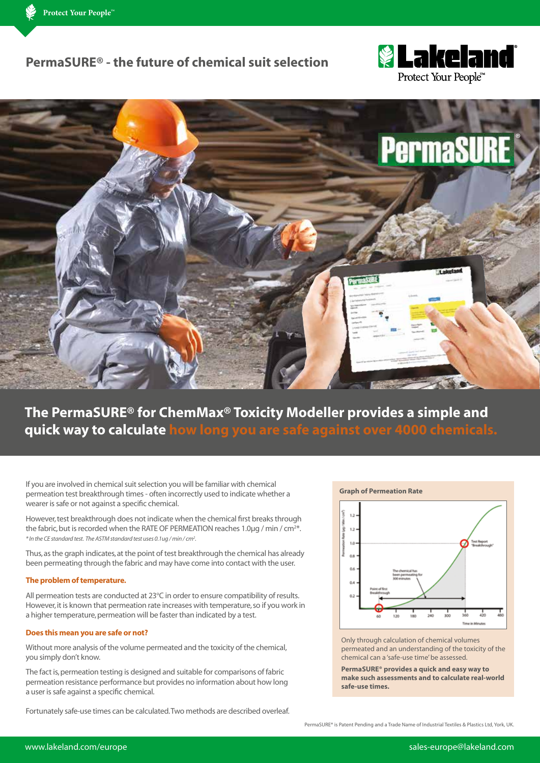### **PermaSURE® - the future of chemical suit selection**





# **The PermaSURE® for ChemMax® Toxicity Modeller provides a simple and quick way to calculate how long you are safe against over 4000 chemicals.**

If you are involved in chemical suit selection you will be familiar with chemical permeation test breakthrough times - often incorrectly used to indicate whether a wearer is safe or not against a specific chemical.

However, test breakthrough does not indicate when the chemical first breaks through the fabric, but is recorded when the RATE OF PERMEATION reaches 1.0μg / min / cm<sup>2\*</sup>. *\* In the CE standard test. The ASTM standard test uses 0.1ug / min / cm2 .*

Thus, as the graph indicates, at the point of test breakthrough the chemical has already been permeating through the fabric and may have come into contact with the user.

#### **The problem of temperature.**

All permeation tests are conducted at 23°C in order to ensure compatibility of results. However, it is known that permeation rate increases with temperature, so if you work in a higher temperature, permeation will be faster than indicated by a test.

#### **Does this mean you are safe or not?**

Without more analysis of the volume permeated and the toxicity of the chemical, you simply don't know.

The fact is, permeation testing is designed and suitable for comparisons of fabric permeation resistance performance but provides no information about how long a user is safe against a specific chemical.

Fortunately safe-use times can be calculated. Two methods are described overleaf.

**Graph of Permeation Rate**



Only through calculation of chemical volumes permeated and an understanding of the toxicity of the chemical can a 'safe-use time' be assessed.

**PermaSURE® provides a quick and easy way to make such assessments and to calculate real-world safe-use times.**

PermaSURE® is Patent Pending and a Trade Name of Industrial Textiles & Plastics Ltd, York, UK.